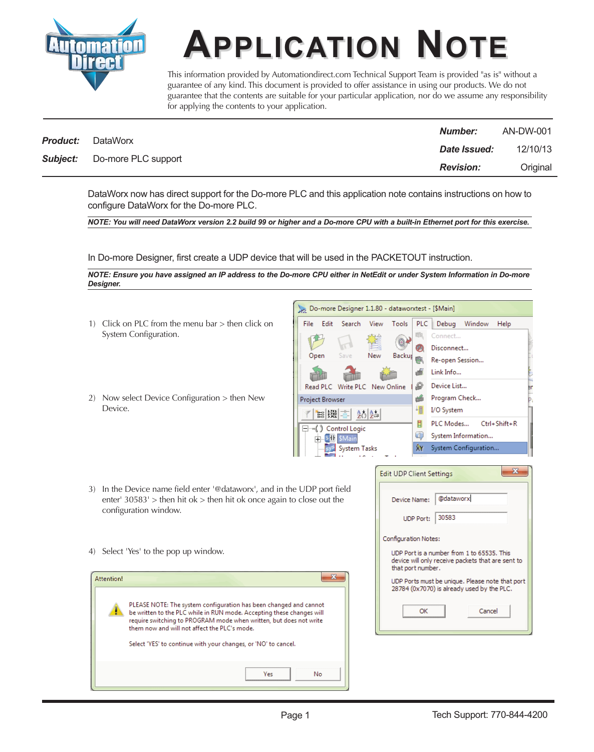

**APPLICATION AND APPLICATION Provided** by Automation direct.com Technical Support Team is provided "as is" vantee of any kind. This document is provided to offer assistance in using our products. We denote that the c This information provided by Automationdirect.com Technical Support Team is provided "as is" without a guarantee of any kind. This document is provided to offer assistance in using our products. We do not guarantee that the contents are suitable for your particular application, nor do we assume any responsibility for applying the contents to your application.

| <b>Product:</b> |                                     | <b>Number:</b>   | AN-DW-001 |
|-----------------|-------------------------------------|------------------|-----------|
|                 | DataWorx                            | Date Issued:     | 12/10/13  |
|                 | <b>Subject:</b> Do-more PLC support | <b>Revision:</b> | Original  |

DataWorx now has direct support for the Do-more PLC and this application note contains instructions on how to configure DataWorx for the Do-more PLC.

*NOTE: You will need DataWorx version 2.2 build 99 or higher and a Do-more CPU with a built-in Ethernet port for this exercise.*

In Do-more Designer, first create a UDP device that will be used in the PACKETOUT instruction.

*NOTE: Ensure you have assigned an IP address to the Do-more CPU either in NetEdit or under System Information in Do-more Designer.*

> File Edit

- 1) Click on PLC from the menu bar > then click on System Configuration.
- 2) Now select Device Configuration > then New Device.



Do-more Designer 1.1.80 - dataworxtest - [\$Main]

View

Tools

PLC

Debug

Connect.

Window

Help

Search

- 3) In the Device name field enter '@dataworx', and in the UDP port field enter'  $30583'$  > then hit ok > then hit ok once again to close out the configuration window.
- 4) Select 'Yes' to the pop up window.

| <b>Attention!</b> |                                                                                                                                                                                                                                                                                                                                    |
|-------------------|------------------------------------------------------------------------------------------------------------------------------------------------------------------------------------------------------------------------------------------------------------------------------------------------------------------------------------|
|                   | PLEASE NOTE: The system configuration has been changed and cannot<br>be written to the PLC while in RUN mode. Accepting these changes will<br>require switching to PROGRAM mode when written, but does not write<br>them now and will not affect the PLC's mode.<br>Select 'YES' to continue with your changes, or 'NO' to cancel. |
|                   | <b>Yes</b><br>No                                                                                                                                                                                                                                                                                                                   |

| <b>Edit UDP Client Settings</b>                                                                                      |           |  |  |  |  |
|----------------------------------------------------------------------------------------------------------------------|-----------|--|--|--|--|
|                                                                                                                      | @dataworx |  |  |  |  |
| Device Name:                                                                                                         |           |  |  |  |  |
| <b>UDP Port:</b>                                                                                                     | 30583     |  |  |  |  |
| Configuration Notes:                                                                                                 |           |  |  |  |  |
| UDP Port is a number from 1 to 65535. This<br>device will only receive packets that are sent to<br>that port number. |           |  |  |  |  |
| UDP Ports must be unique. Please note that port<br>28784 (0x7070) is already used by the PLC.                        |           |  |  |  |  |
| OK                                                                                                                   | Cancel    |  |  |  |  |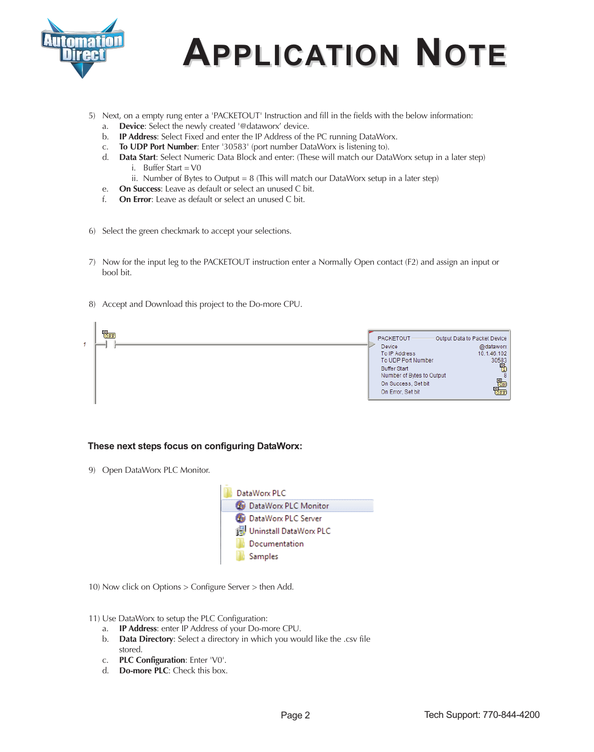

## **APPLICATION NOTE APPLICATION PPLICATION NOTE**

- 5) Next, on a empty rung enter a 'PACKETOUT' Instruction and fill in the fields with the below information:
	- a. **Device**: Select the newly created '@dataworx' device.
	- b. **IP Address**: Select Fixed and enter the IP Address of the PC running DataWorx.
	- c. **To UDP Port Number**: Enter '30583' (port number DataWorx is listening to).
	- d. **Data Start**: Select Numeric Data Block and enter: (These will match our DataWorx setup in a later step) i. Buffer Start =  $V0$ 
		- ii. Number of Bytes to Output =  $8$  (This will match our DataWorx setup in a later step)
	- e. **On Success**: Leave as default or select an unused C bit.
	- f. **On Error**: Leave as default or select an unused C bit.
- 6) Select the green checkmark to accept your selections.
- 7) Now for the input leg to the PACKETOUT instruction enter a Normally Open contact (F2) and assign an input or bool bit.
- 8) Accept and Download this project to the Do-more CPU.



## **These next steps focus on configuring DataWorx:**

9) Open DataWorx PLC Monitor.



10) Now click on Options > Configure Server > then Add.

11) Use DataWorx to setup the PLC Configuration:

- a. **IP Address**: enter IP Address of your Do-more CPU.
- b. **Data Directory**: Select a directory in which you would like the .csv file stored.
- c. **PLC Configuration**: Enter 'V0'.
- d. **Do-more PLC**: Check this box.